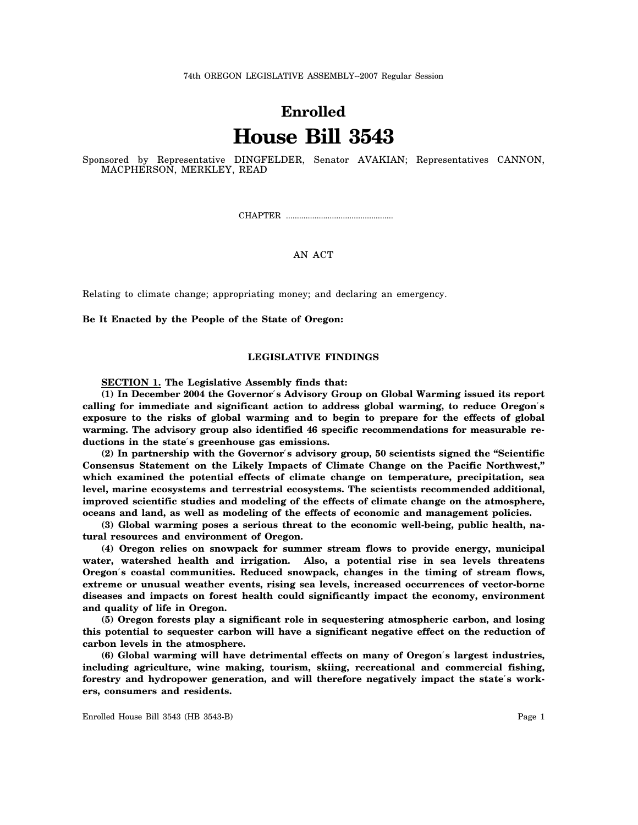74th OREGON LEGISLATIVE ASSEMBLY--2007 Regular Session

# **Enrolled House Bill 3543**

Sponsored by Representative DINGFELDER, Senator AVAKIAN; Representatives CANNON, MACPHERSON, MERKLEY, READ

CHAPTER .................................................

# AN ACT

Relating to climate change; appropriating money; and declaring an emergency.

**Be It Enacted by the People of the State of Oregon:**

# **LEGISLATIVE FINDINGS**

**SECTION 1. The Legislative Assembly finds that:**

**(1) In December 2004 the Governor**′**s Advisory Group on Global Warming issued its report calling for immediate and significant action to address global warming, to reduce Oregon**′**s exposure to the risks of global warming and to begin to prepare for the effects of global warming. The advisory group also identified 46 specific recommendations for measurable reductions in the state**′**s greenhouse gas emissions.**

**(2) In partnership with the Governor**′**s advisory group, 50 scientists signed the "Scientific Consensus Statement on the Likely Impacts of Climate Change on the Pacific Northwest," which examined the potential effects of climate change on temperature, precipitation, sea level, marine ecosystems and terrestrial ecosystems. The scientists recommended additional, improved scientific studies and modeling of the effects of climate change on the atmosphere, oceans and land, as well as modeling of the effects of economic and management policies.**

**(3) Global warming poses a serious threat to the economic well-being, public health, natural resources and environment of Oregon.**

**(4) Oregon relies on snowpack for summer stream flows to provide energy, municipal water, watershed health and irrigation. Also, a potential rise in sea levels threatens Oregon**′**s coastal communities. Reduced snowpack, changes in the timing of stream flows, extreme or unusual weather events, rising sea levels, increased occurrences of vector-borne diseases and impacts on forest health could significantly impact the economy, environment and quality of life in Oregon.**

**(5) Oregon forests play a significant role in sequestering atmospheric carbon, and losing this potential to sequester carbon will have a significant negative effect on the reduction of carbon levels in the atmosphere.**

**(6) Global warming will have detrimental effects on many of Oregon**′**s largest industries, including agriculture, wine making, tourism, skiing, recreational and commercial fishing, forestry and hydropower generation, and will therefore negatively impact the state**′**s workers, consumers and residents.**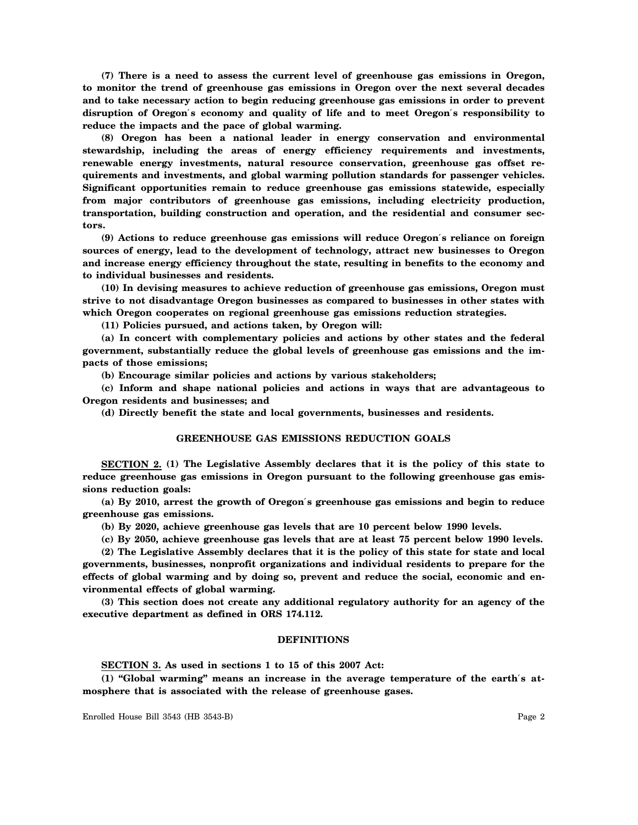**(7) There is a need to assess the current level of greenhouse gas emissions in Oregon, to monitor the trend of greenhouse gas emissions in Oregon over the next several decades and to take necessary action to begin reducing greenhouse gas emissions in order to prevent disruption of Oregon**′**s economy and quality of life and to meet Oregon**′**s responsibility to reduce the impacts and the pace of global warming.**

**(8) Oregon has been a national leader in energy conservation and environmental stewardship, including the areas of energy efficiency requirements and investments, renewable energy investments, natural resource conservation, greenhouse gas offset requirements and investments, and global warming pollution standards for passenger vehicles. Significant opportunities remain to reduce greenhouse gas emissions statewide, especially from major contributors of greenhouse gas emissions, including electricity production, transportation, building construction and operation, and the residential and consumer sectors.**

**(9) Actions to reduce greenhouse gas emissions will reduce Oregon**′**s reliance on foreign sources of energy, lead to the development of technology, attract new businesses to Oregon and increase energy efficiency throughout the state, resulting in benefits to the economy and to individual businesses and residents.**

**(10) In devising measures to achieve reduction of greenhouse gas emissions, Oregon must strive to not disadvantage Oregon businesses as compared to businesses in other states with which Oregon cooperates on regional greenhouse gas emissions reduction strategies.**

**(11) Policies pursued, and actions taken, by Oregon will:**

**(a) In concert with complementary policies and actions by other states and the federal government, substantially reduce the global levels of greenhouse gas emissions and the impacts of those emissions;**

**(b) Encourage similar policies and actions by various stakeholders;**

**(c) Inform and shape national policies and actions in ways that are advantageous to Oregon residents and businesses; and**

**(d) Directly benefit the state and local governments, businesses and residents.**

# **GREENHOUSE GAS EMISSIONS REDUCTION GOALS**

**SECTION 2. (1) The Legislative Assembly declares that it is the policy of this state to reduce greenhouse gas emissions in Oregon pursuant to the following greenhouse gas emissions reduction goals:**

**(a) By 2010, arrest the growth of Oregon**′**s greenhouse gas emissions and begin to reduce greenhouse gas emissions.**

**(b) By 2020, achieve greenhouse gas levels that are 10 percent below 1990 levels.**

**(c) By 2050, achieve greenhouse gas levels that are at least 75 percent below 1990 levels.**

**(2) The Legislative Assembly declares that it is the policy of this state for state and local governments, businesses, nonprofit organizations and individual residents to prepare for the effects of global warming and by doing so, prevent and reduce the social, economic and environmental effects of global warming.**

**(3) This section does not create any additional regulatory authority for an agency of the executive department as defined in ORS 174.112.**

#### **DEFINITIONS**

**SECTION 3. As used in sections 1 to 15 of this 2007 Act:**

**(1) "Global warming" means an increase in the average temperature of the earth**′**s atmosphere that is associated with the release of greenhouse gases.**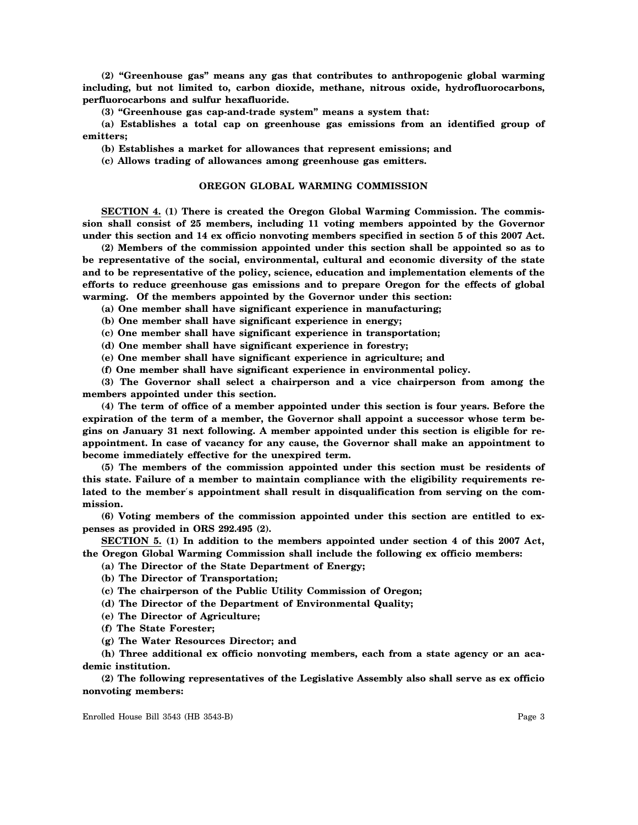**(2) "Greenhouse gas" means any gas that contributes to anthropogenic global warming including, but not limited to, carbon dioxide, methane, nitrous oxide, hydrofluorocarbons, perfluorocarbons and sulfur hexafluoride.**

**(3) "Greenhouse gas cap-and-trade system" means a system that:**

**(a) Establishes a total cap on greenhouse gas emissions from an identified group of emitters;**

**(b) Establishes a market for allowances that represent emissions; and**

**(c) Allows trading of allowances among greenhouse gas emitters.**

## **OREGON GLOBAL WARMING COMMISSION**

**SECTION 4. (1) There is created the Oregon Global Warming Commission. The commission shall consist of 25 members, including 11 voting members appointed by the Governor under this section and 14 ex officio nonvoting members specified in section 5 of this 2007 Act.**

**(2) Members of the commission appointed under this section shall be appointed so as to be representative of the social, environmental, cultural and economic diversity of the state and to be representative of the policy, science, education and implementation elements of the efforts to reduce greenhouse gas emissions and to prepare Oregon for the effects of global warming. Of the members appointed by the Governor under this section:**

**(a) One member shall have significant experience in manufacturing;**

**(b) One member shall have significant experience in energy;**

**(c) One member shall have significant experience in transportation;**

**(d) One member shall have significant experience in forestry;**

**(e) One member shall have significant experience in agriculture; and**

**(f) One member shall have significant experience in environmental policy.**

**(3) The Governor shall select a chairperson and a vice chairperson from among the members appointed under this section.**

**(4) The term of office of a member appointed under this section is four years. Before the expiration of the term of a member, the Governor shall appoint a successor whose term begins on January 31 next following. A member appointed under this section is eligible for reappointment. In case of vacancy for any cause, the Governor shall make an appointment to become immediately effective for the unexpired term.**

**(5) The members of the commission appointed under this section must be residents of this state. Failure of a member to maintain compliance with the eligibility requirements related to the member**′**s appointment shall result in disqualification from serving on the commission.**

**(6) Voting members of the commission appointed under this section are entitled to expenses as provided in ORS 292.495 (2).**

**SECTION 5. (1) In addition to the members appointed under section 4 of this 2007 Act, the Oregon Global Warming Commission shall include the following ex officio members:**

**(a) The Director of the State Department of Energy;**

**(b) The Director of Transportation;**

**(c) The chairperson of the Public Utility Commission of Oregon;**

**(d) The Director of the Department of Environmental Quality;**

**(e) The Director of Agriculture;**

**(f) The State Forester;**

**(g) The Water Resources Director; and**

**(h) Three additional ex officio nonvoting members, each from a state agency or an academic institution.**

**(2) The following representatives of the Legislative Assembly also shall serve as ex officio nonvoting members:**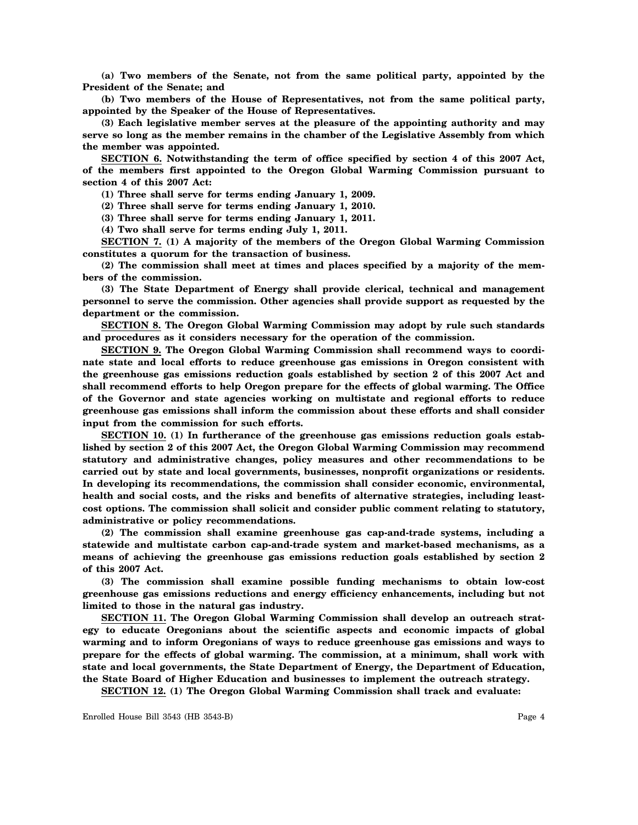**(a) Two members of the Senate, not from the same political party, appointed by the President of the Senate; and**

**(b) Two members of the House of Representatives, not from the same political party, appointed by the Speaker of the House of Representatives.**

**(3) Each legislative member serves at the pleasure of the appointing authority and may serve so long as the member remains in the chamber of the Legislative Assembly from which the member was appointed.**

**SECTION 6. Notwithstanding the term of office specified by section 4 of this 2007 Act, of the members first appointed to the Oregon Global Warming Commission pursuant to section 4 of this 2007 Act:**

**(1) Three shall serve for terms ending January 1, 2009.**

**(2) Three shall serve for terms ending January 1, 2010.**

**(3) Three shall serve for terms ending January 1, 2011.**

**(4) Two shall serve for terms ending July 1, 2011.**

**SECTION 7. (1) A majority of the members of the Oregon Global Warming Commission constitutes a quorum for the transaction of business.**

**(2) The commission shall meet at times and places specified by a majority of the members of the commission.**

**(3) The State Department of Energy shall provide clerical, technical and management personnel to serve the commission. Other agencies shall provide support as requested by the department or the commission.**

**SECTION 8. The Oregon Global Warming Commission may adopt by rule such standards and procedures as it considers necessary for the operation of the commission.**

**SECTION 9. The Oregon Global Warming Commission shall recommend ways to coordinate state and local efforts to reduce greenhouse gas emissions in Oregon consistent with the greenhouse gas emissions reduction goals established by section 2 of this 2007 Act and shall recommend efforts to help Oregon prepare for the effects of global warming. The Office of the Governor and state agencies working on multistate and regional efforts to reduce greenhouse gas emissions shall inform the commission about these efforts and shall consider input from the commission for such efforts.**

**SECTION 10. (1) In furtherance of the greenhouse gas emissions reduction goals established by section 2 of this 2007 Act, the Oregon Global Warming Commission may recommend statutory and administrative changes, policy measures and other recommendations to be carried out by state and local governments, businesses, nonprofit organizations or residents. In developing its recommendations, the commission shall consider economic, environmental, health and social costs, and the risks and benefits of alternative strategies, including leastcost options. The commission shall solicit and consider public comment relating to statutory, administrative or policy recommendations.**

**(2) The commission shall examine greenhouse gas cap-and-trade systems, including a statewide and multistate carbon cap-and-trade system and market-based mechanisms, as a means of achieving the greenhouse gas emissions reduction goals established by section 2 of this 2007 Act.**

**(3) The commission shall examine possible funding mechanisms to obtain low-cost greenhouse gas emissions reductions and energy efficiency enhancements, including but not limited to those in the natural gas industry.**

**SECTION 11. The Oregon Global Warming Commission shall develop an outreach strategy to educate Oregonians about the scientific aspects and economic impacts of global warming and to inform Oregonians of ways to reduce greenhouse gas emissions and ways to prepare for the effects of global warming. The commission, at a minimum, shall work with state and local governments, the State Department of Energy, the Department of Education, the State Board of Higher Education and businesses to implement the outreach strategy.**

**SECTION 12. (1) The Oregon Global Warming Commission shall track and evaluate:**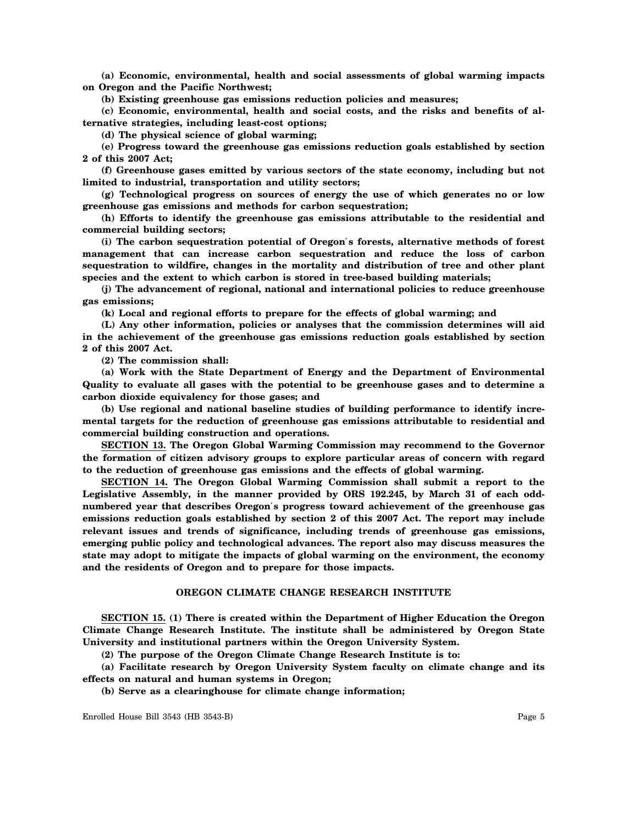**(a) Economic, environmental, health and social assessments of global warming impacts on Oregon and the Pacific Northwest;**

**(b) Existing greenhouse gas emissions reduction policies and measures;**

**(c) Economic, environmental, health and social costs, and the risks and benefits of alternative strategies, including least-cost options;**

**(d) The physical science of global warming;**

**(e) Progress toward the greenhouse gas emissions reduction goals established by section 2 of this 2007 Act;**

**(f) Greenhouse gases emitted by various sectors of the state economy, including but not limited to industrial, transportation and utility sectors;**

**(g) Technological progress on sources of energy the use of which generates no or low greenhouse gas emissions and methods for carbon sequestration;**

**(h) Efforts to identify the greenhouse gas emissions attributable to the residential and commercial building sectors;**

**(i) The carbon sequestration potential of Oregon**′**s forests, alternative methods of forest management that can increase carbon sequestration and reduce the loss of carbon sequestration to wildfire, changes in the mortality and distribution of tree and other plant species and the extent to which carbon is stored in tree-based building materials;**

**(j) The advancement of regional, national and international policies to reduce greenhouse gas emissions;**

**(k) Local and regional efforts to prepare for the effects of global warming; and**

**(L) Any other information, policies or analyses that the commission determines will aid in the achievement of the greenhouse gas emissions reduction goals established by section 2 of this 2007 Act.**

**(2) The commission shall:**

**(a) Work with the State Department of Energy and the Department of Environmental Quality to evaluate all gases with the potential to be greenhouse gases and to determine a carbon dioxide equivalency for those gases; and**

**(b) Use regional and national baseline studies of building performance to identify incremental targets for the reduction of greenhouse gas emissions attributable to residential and commercial building construction and operations.**

**SECTION 13. The Oregon Global Warming Commission may recommend to the Governor the formation of citizen advisory groups to explore particular areas of concern with regard to the reduction of greenhouse gas emissions and the effects of global warming.**

**SECTION 14. The Oregon Global Warming Commission shall submit a report to the Legislative Assembly, in the manner provided by ORS 192.245, by March 31 of each oddnumbered year that describes Oregon**′**s progress toward achievement of the greenhouse gas emissions reduction goals established by section 2 of this 2007 Act. The report may include relevant issues and trends of significance, including trends of greenhouse gas emissions, emerging public policy and technological advances. The report also may discuss measures the state may adopt to mitigate the impacts of global warming on the environment, the economy and the residents of Oregon and to prepare for those impacts.**

## **OREGON CLIMATE CHANGE RESEARCH INSTITUTE**

**SECTION 15. (1) There is created within the Department of Higher Education the Oregon Climate Change Research Institute. The institute shall be administered by Oregon State University and institutional partners within the Oregon University System.**

**(2) The purpose of the Oregon Climate Change Research Institute is to:**

**(a) Facilitate research by Oregon University System faculty on climate change and its effects on natural and human systems in Oregon;**

**(b) Serve as a clearinghouse for climate change information;**